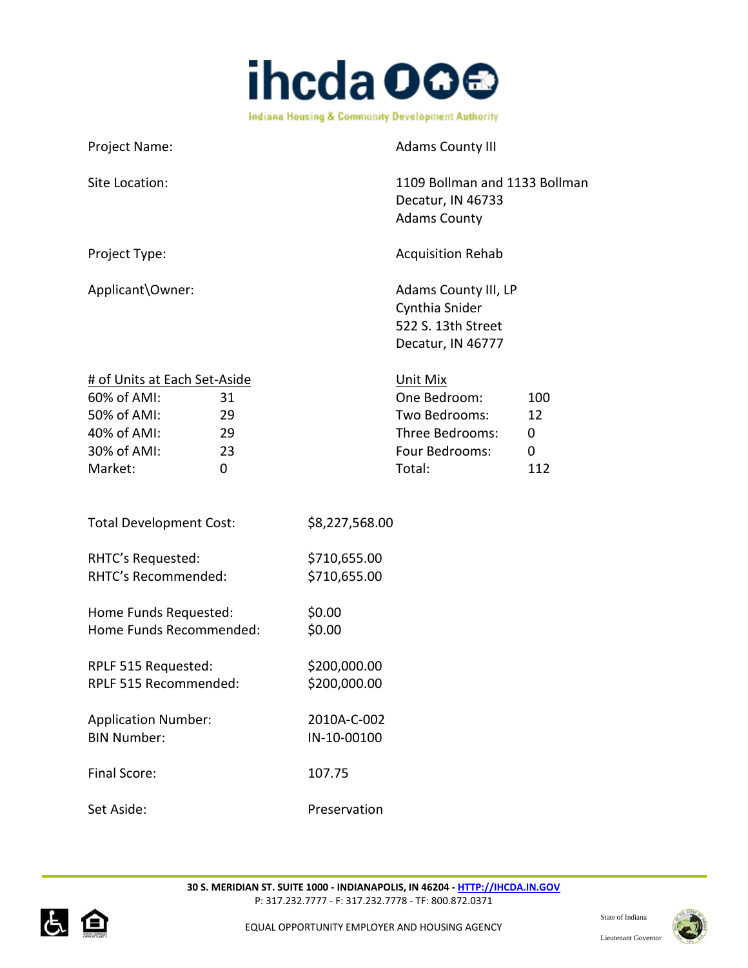

| Project Name:                                                                                                                    | <b>Adams County III</b>                                                                                                |
|----------------------------------------------------------------------------------------------------------------------------------|------------------------------------------------------------------------------------------------------------------------|
| Site Location:                                                                                                                   | 1109 Bollman and 1133 Bollman<br>Decatur, IN 46733<br><b>Adams County</b>                                              |
| Project Type:                                                                                                                    | <b>Acquisition Rehab</b>                                                                                               |
| Applicant\Owner:                                                                                                                 | Adams County III, LP<br>Cynthia Snider<br>522 S. 13th Street<br>Decatur, IN 46777                                      |
| # of Units at Each Set-Aside<br>60% of AMI:<br>31<br>50% of AMI:<br>29<br>40% of AMI:<br>29<br>30% of AMI:<br>23<br>Market:<br>0 | Unit Mix<br>One Bedroom:<br>100<br>Two Bedrooms:<br>12<br>Three Bedrooms:<br>0<br>Four Bedrooms:<br>0<br>Total:<br>112 |
| <b>Total Development Cost:</b>                                                                                                   | \$8,227,568.00                                                                                                         |
| RHTC's Requested:<br>RHTC's Recommended:                                                                                         | \$710,655.00<br>\$710,655.00                                                                                           |
| Home Funds Requested:<br>Home Funds Recommended:                                                                                 | \$0.00<br>\$0.00                                                                                                       |
| RPLF 515 Requested:<br>RPLF 515 Recommended:                                                                                     | \$200,000.00<br>\$200,000.00                                                                                           |
| <b>Application Number:</b><br><b>BIN Number:</b>                                                                                 | 2010A-C-002<br>IN-10-00100                                                                                             |
| Final Score:                                                                                                                     | 107.75                                                                                                                 |
| Set Aside:                                                                                                                       | Preservation                                                                                                           |



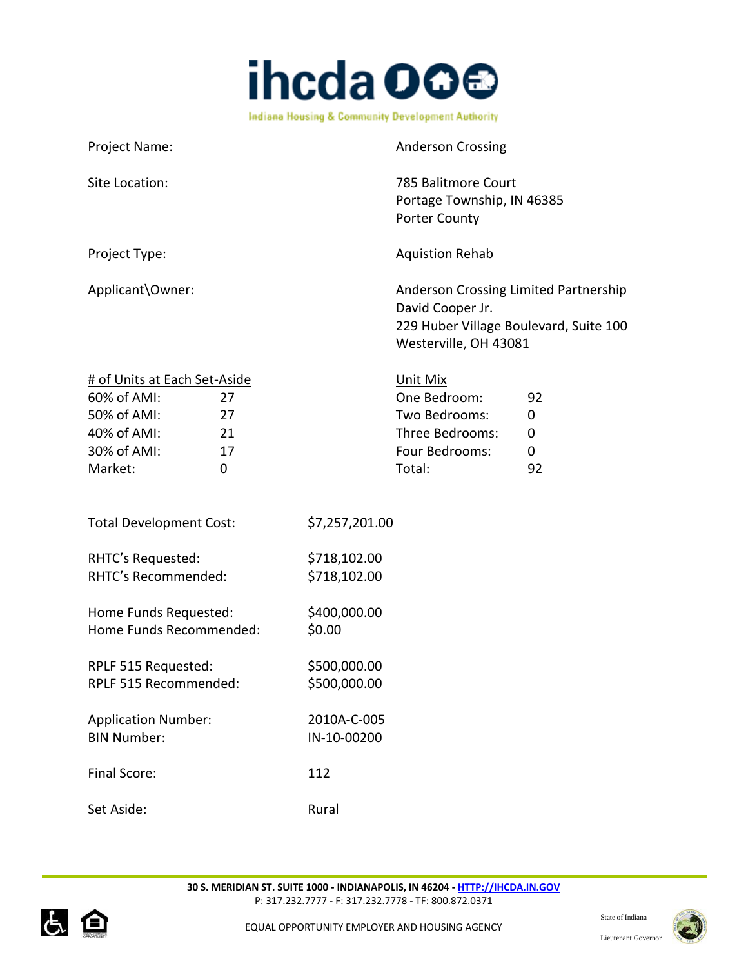

| Project Name:                                                                                                                    |                              | <b>Anderson Crossing</b>                                                                                                     |                                             |
|----------------------------------------------------------------------------------------------------------------------------------|------------------------------|------------------------------------------------------------------------------------------------------------------------------|---------------------------------------------|
| Site Location:                                                                                                                   |                              | 785 Balitmore Court<br>Portage Township, IN 46385<br><b>Porter County</b>                                                    |                                             |
| Project Type:                                                                                                                    |                              | <b>Aquistion Rehab</b>                                                                                                       |                                             |
| Applicant\Owner:                                                                                                                 |                              | Anderson Crossing Limited Partnership<br>David Cooper Jr.<br>229 Huber Village Boulevard, Suite 100<br>Westerville, OH 43081 |                                             |
| # of Units at Each Set-Aside<br>60% of AMI:<br>27<br>50% of AMI:<br>27<br>40% of AMI:<br>21<br>30% of AMI:<br>17<br>Market:<br>0 |                              | Unit Mix<br>One Bedroom:<br>Two Bedrooms:<br>Three Bedrooms:<br>Four Bedrooms:<br>Total:                                     | 92<br>$\mathbf 0$<br>0<br>$\mathbf 0$<br>92 |
| <b>Total Development Cost:</b>                                                                                                   | \$7,257,201.00               |                                                                                                                              |                                             |
| RHTC's Requested:<br>RHTC's Recommended:                                                                                         | \$718,102.00<br>\$718,102.00 |                                                                                                                              |                                             |
| Home Funds Requested:<br>Home Funds Recommended:                                                                                 | \$400,000.00<br>\$0.00       |                                                                                                                              |                                             |
| RPLF 515 Requested:<br>RPLF 515 Recommended:                                                                                     | \$500,000.00<br>\$500,000.00 |                                                                                                                              |                                             |
| <b>Application Number:</b><br><b>BIN Number:</b>                                                                                 | 2010A-C-005<br>IN-10-00200   |                                                                                                                              |                                             |
| Final Score:                                                                                                                     | 112                          |                                                                                                                              |                                             |
| Set Aside:                                                                                                                       | Rural                        |                                                                                                                              |                                             |



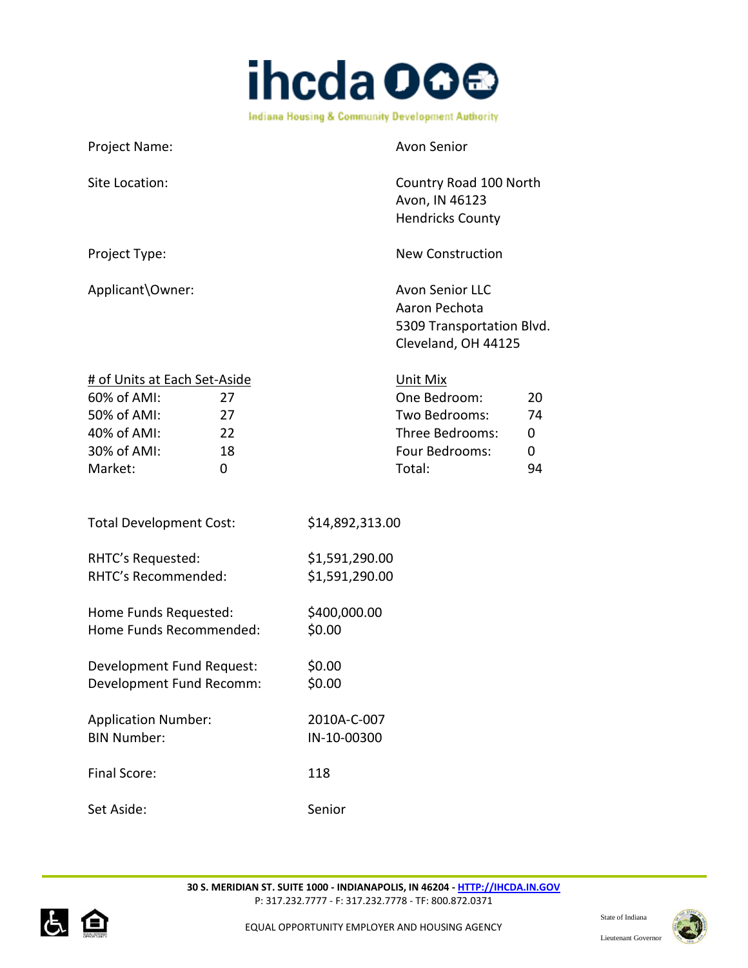

| Project Name:                                                                                                                    | <b>Avon Senior</b>                                                                                                   |
|----------------------------------------------------------------------------------------------------------------------------------|----------------------------------------------------------------------------------------------------------------------|
| Site Location:                                                                                                                   | Country Road 100 North<br>Avon, IN 46123<br><b>Hendricks County</b>                                                  |
| Project Type:                                                                                                                    | <b>New Construction</b>                                                                                              |
| Applicant\Owner:                                                                                                                 | <b>Avon Senior LLC</b><br>Aaron Pechota<br>5309 Transportation Blvd.<br>Cleveland, OH 44125                          |
| # of Units at Each Set-Aside<br>60% of AMI:<br>27<br>50% of AMI:<br>27<br>40% of AMI:<br>22<br>30% of AMI:<br>18<br>Market:<br>0 | Unit Mix<br>One Bedroom:<br>20<br>Two Bedrooms:<br>74<br>Three Bedrooms:<br>0<br>Four Bedrooms:<br>0<br>Total:<br>94 |
| <b>Total Development Cost:</b>                                                                                                   | \$14,892,313.00                                                                                                      |
| RHTC's Requested:<br>RHTC's Recommended:                                                                                         | \$1,591,290.00<br>\$1,591,290.00                                                                                     |
| Home Funds Requested:<br>Home Funds Recommended:                                                                                 | \$400,000.00<br>\$0.00                                                                                               |
| Development Fund Request:<br>Development Fund Recomm:                                                                            | \$0.00<br>\$0.00                                                                                                     |
| <b>Application Number:</b><br><b>BIN Number:</b>                                                                                 | 2010A-C-007<br>IN-10-00300                                                                                           |
| Final Score:                                                                                                                     | 118                                                                                                                  |
| Set Aside:                                                                                                                       | Senior                                                                                                               |



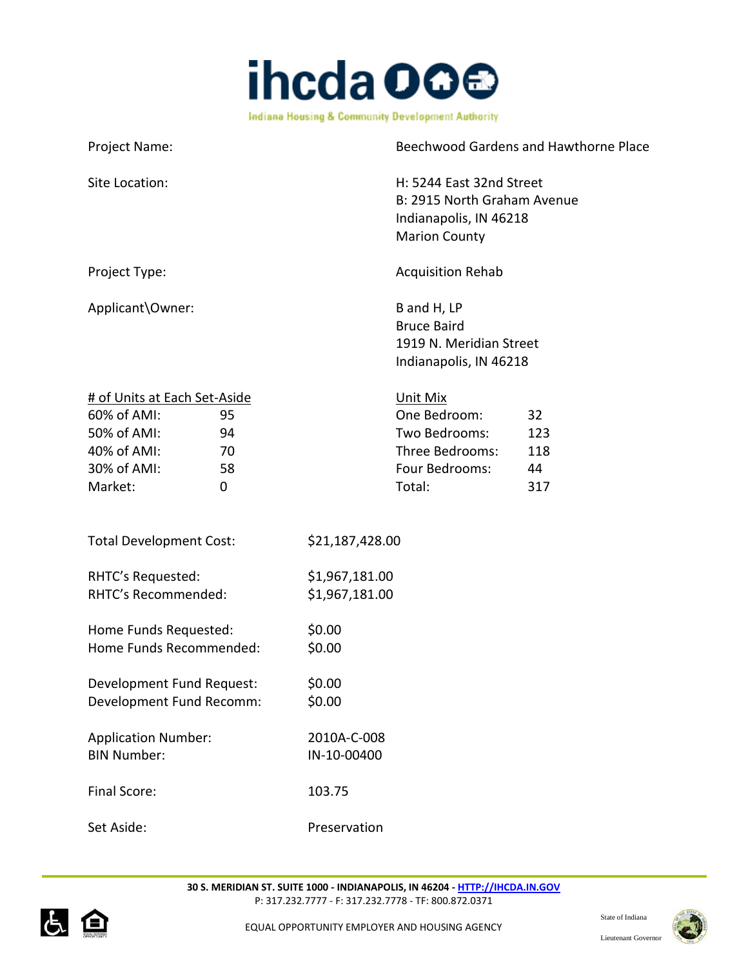

| Project Name:                                         |    |                                                                                                           |                                                                                        | Beechwood Gardens and Hawthorne Place |
|-------------------------------------------------------|----|-----------------------------------------------------------------------------------------------------------|----------------------------------------------------------------------------------------|---------------------------------------|
| Site Location:                                        |    | H: 5244 East 32nd Street<br>B: 2915 North Graham Avenue<br>Indianapolis, IN 46218<br><b>Marion County</b> |                                                                                        |                                       |
| Project Type:                                         |    |                                                                                                           | <b>Acquisition Rehab</b>                                                               |                                       |
| Applicant\Owner:                                      |    |                                                                                                           | B and H, LP<br><b>Bruce Baird</b><br>1919 N. Meridian Street<br>Indianapolis, IN 46218 |                                       |
| # of Units at Each Set-Aside                          |    |                                                                                                           | Unit Mix                                                                               |                                       |
| 60% of AMI:                                           | 95 |                                                                                                           | One Bedroom:                                                                           | 32                                    |
| 50% of AMI:                                           | 94 |                                                                                                           | Two Bedrooms:                                                                          | 123                                   |
| 40% of AMI:                                           | 70 |                                                                                                           | Three Bedrooms:                                                                        | 118                                   |
| 30% of AMI:                                           | 58 |                                                                                                           | Four Bedrooms:                                                                         | 44                                    |
| Market:                                               | 0  |                                                                                                           | Total:                                                                                 | 317                                   |
| <b>Total Development Cost:</b>                        |    | \$21,187,428.00                                                                                           |                                                                                        |                                       |
| RHTC's Requested:<br>RHTC's Recommended:              |    | \$1,967,181.00<br>\$1,967,181.00                                                                          |                                                                                        |                                       |
| Home Funds Requested:<br>Home Funds Recommended:      |    | \$0.00<br>\$0.00                                                                                          |                                                                                        |                                       |
| Development Fund Request:<br>Development Fund Recomm: |    | \$0.00<br>\$0.00                                                                                          |                                                                                        |                                       |
| <b>Application Number:</b><br><b>BIN Number:</b>      |    | 2010A-C-008<br>IN-10-00400                                                                                |                                                                                        |                                       |
| Final Score:                                          |    | 103.75                                                                                                    |                                                                                        |                                       |
| Set Aside:                                            |    | Preservation                                                                                              |                                                                                        |                                       |

P: 317.232.7777 - F: 317.232.7778 - TF: 800.872.0371

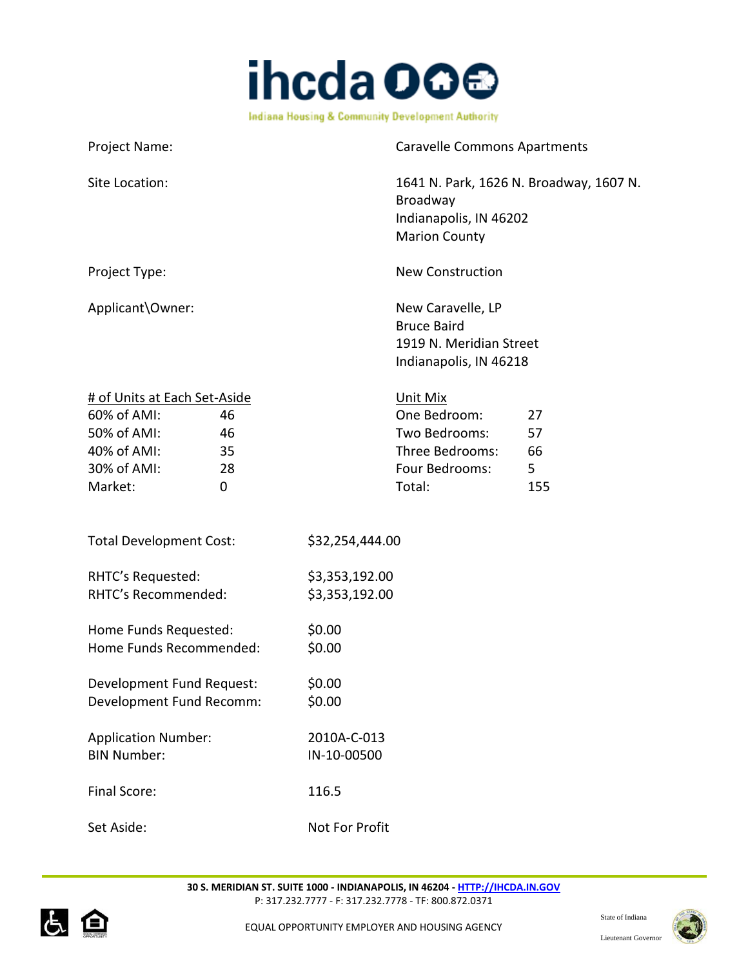

Project Name: Caravelle Commons Apartments Site Location: 1641 N. Park, 1626 N. Broadway, 1607 N. Broadway Indianapolis, IN 46202 Marion County Project Type: New Construction Applicant\Owner: New Caravelle, LP Bruce Baird 1919 N. Meridian Street Indianapolis, IN 46218 # of Units at Each Set-Aside Unit Mix 60% of AMI: 46 One Bedroom: 27 50% of AMI: 46 Two Bedrooms: 57 40% of AMI: 35 Three Bedrooms: 66 30% of AMI: 28 and 28 Four Bedrooms: 5 Market: 0 0 Total: 155 Total Development Cost: \$32,254,444.00 RHTC's Requested: \$3,353,192.00 RHTC's Recommended: \$3,353,192.00 Home Funds Requested: \$0.00 Home Funds Recommended: \$0.00 Development Fund Request: \$0.00 Development Fund Recomm: \$0.00 Application Number: 2010A-C-013 BIN Number: IN-10-00500 Final Score: 116.5



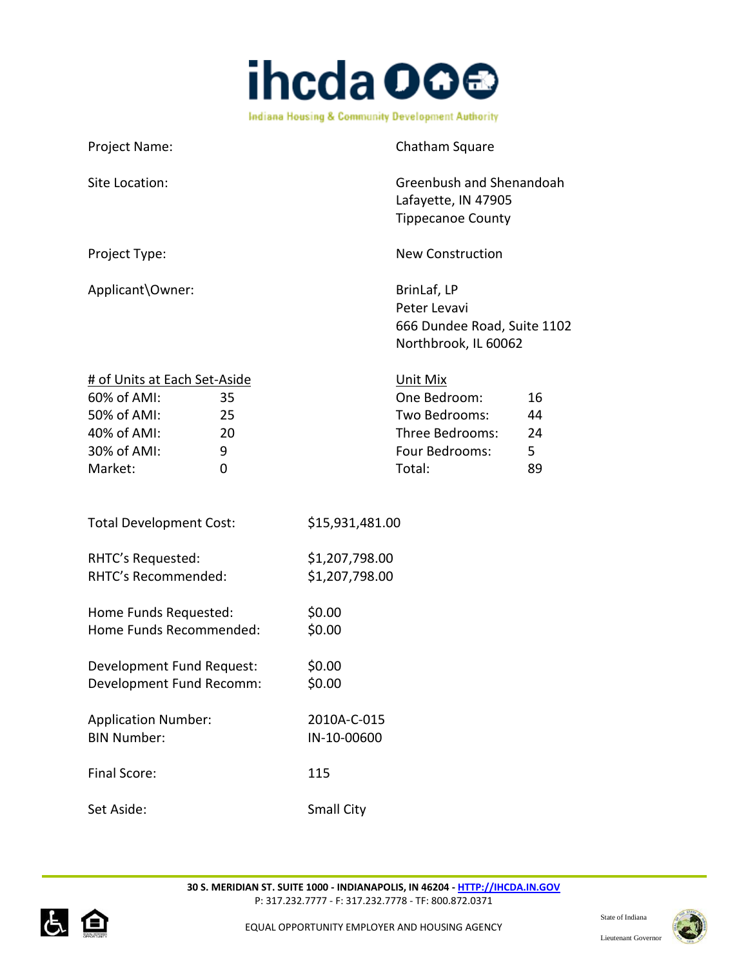

| Project Name:                                                                                                                   | Chatham Square                                                                                                        |
|---------------------------------------------------------------------------------------------------------------------------------|-----------------------------------------------------------------------------------------------------------------------|
| Site Location:                                                                                                                  | Greenbush and Shenandoah<br>Lafayette, IN 47905<br><b>Tippecanoe County</b>                                           |
| Project Type:                                                                                                                   | <b>New Construction</b>                                                                                               |
| Applicant\Owner:                                                                                                                | BrinLaf, LP<br>Peter Levavi<br>666 Dundee Road, Suite 1102<br>Northbrook, IL 60062                                    |
| # of Units at Each Set-Aside<br>60% of AMI:<br>35<br>50% of AMI:<br>25<br>40% of AMI:<br>20<br>30% of AMI:<br>9<br>Market:<br>0 | Unit Mix<br>One Bedroom:<br>16<br>Two Bedrooms:<br>44<br>Three Bedrooms:<br>24<br>Four Bedrooms:<br>5<br>Total:<br>89 |
| <b>Total Development Cost:</b>                                                                                                  | \$15,931,481.00                                                                                                       |
| RHTC's Requested:<br>RHTC's Recommended:                                                                                        | \$1,207,798.00<br>\$1,207,798.00                                                                                      |
| Home Funds Requested:<br>Home Funds Recommended:                                                                                | \$0.00<br>\$0.00                                                                                                      |
| Development Fund Request:<br>Development Fund Recomm:                                                                           | \$0.00<br>\$0.00                                                                                                      |
| <b>Application Number:</b><br><b>BIN Number:</b>                                                                                | 2010A-C-015<br>IN-10-00600                                                                                            |
| Final Score:                                                                                                                    | 115                                                                                                                   |
| Set Aside:                                                                                                                      | <b>Small City</b>                                                                                                     |



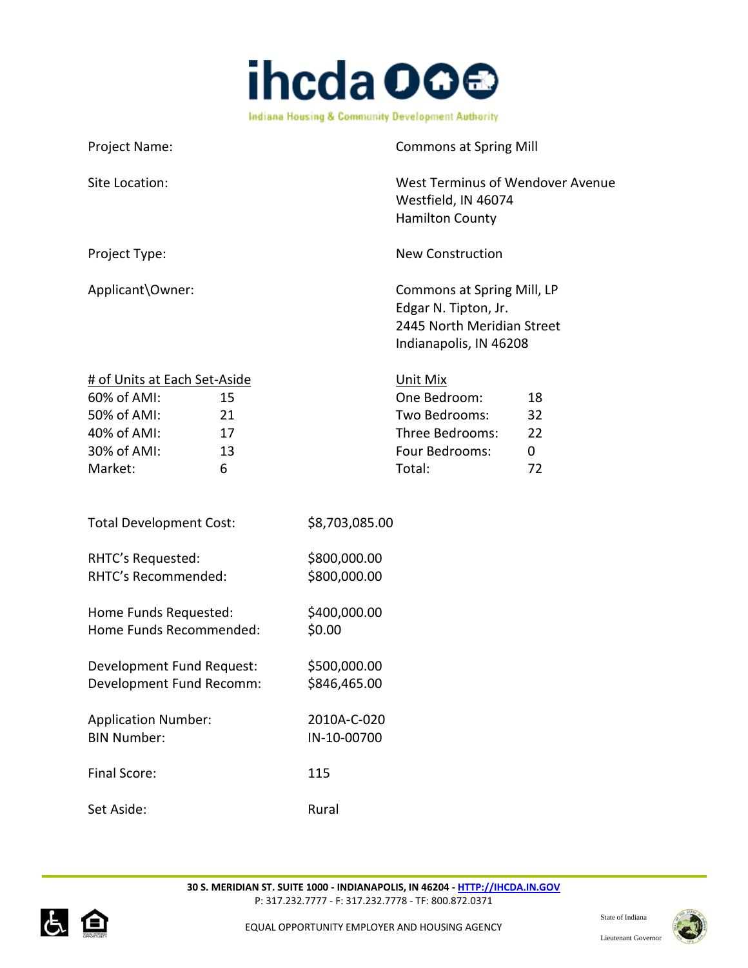

| Project Name:                                                                                                                    | <b>Commons at Spring Mill</b>                                                                                                   |
|----------------------------------------------------------------------------------------------------------------------------------|---------------------------------------------------------------------------------------------------------------------------------|
| Site Location:                                                                                                                   | West Terminus of Wendover Avenue<br>Westfield, IN 46074<br><b>Hamilton County</b>                                               |
| Project Type:                                                                                                                    | <b>New Construction</b>                                                                                                         |
| Applicant\Owner:                                                                                                                 | Commons at Spring Mill, LP<br>Edgar N. Tipton, Jr.<br>2445 North Meridian Street<br>Indianapolis, IN 46208                      |
| # of Units at Each Set-Aside<br>60% of AMI:<br>15<br>50% of AMI:<br>21<br>40% of AMI:<br>17<br>30% of AMI:<br>13<br>Market:<br>6 | Unit Mix<br>One Bedroom:<br>18<br>Two Bedrooms:<br>32<br>Three Bedrooms:<br>22<br>Four Bedrooms:<br>$\mathbf 0$<br>Total:<br>72 |
| <b>Total Development Cost:</b>                                                                                                   | \$8,703,085.00                                                                                                                  |
| RHTC's Requested:<br>RHTC's Recommended:                                                                                         | \$800,000.00<br>\$800,000.00                                                                                                    |
| Home Funds Requested:<br>Home Funds Recommended:                                                                                 | \$400,000.00<br>\$0.00                                                                                                          |
| Development Fund Request:<br>Development Fund Recomm:                                                                            | \$500,000.00<br>\$846,465.00                                                                                                    |
| <b>Application Number:</b><br><b>BIN Number:</b>                                                                                 | 2010A-C-020<br>IN-10-00700                                                                                                      |
| <b>Final Score:</b>                                                                                                              | 115                                                                                                                             |
| Set Aside:                                                                                                                       | Rural                                                                                                                           |



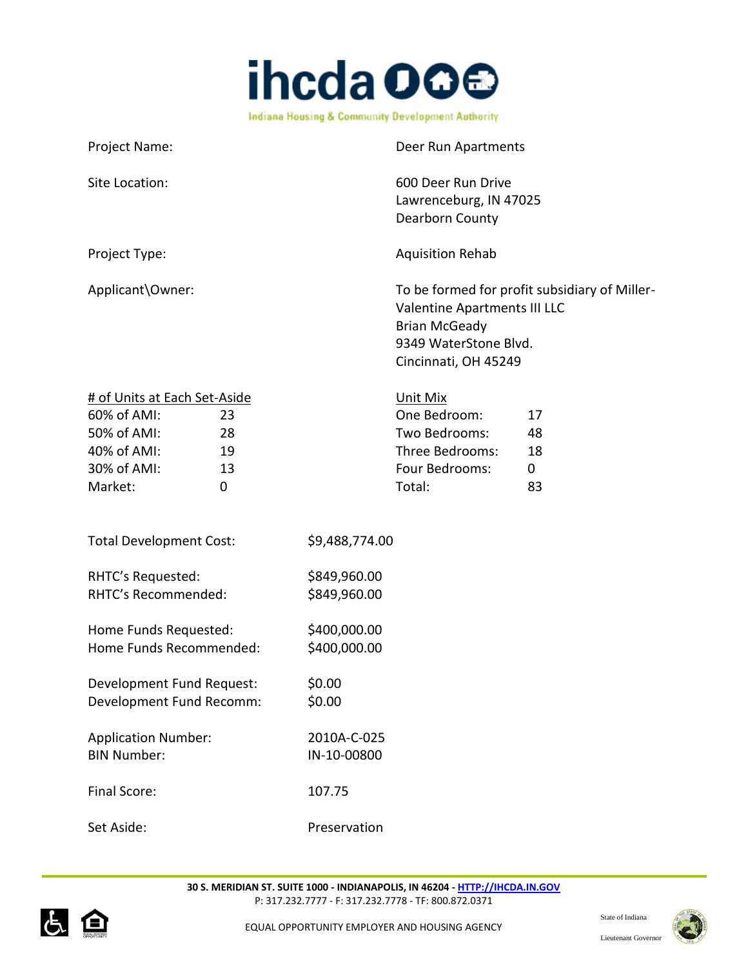

| Project Name:                | Deer Run Apartments                                                                                                                                    |
|------------------------------|--------------------------------------------------------------------------------------------------------------------------------------------------------|
| Site Location:               | 600 Deer Run Drive<br>Lawrenceburg, IN 47025<br>Dearborn County                                                                                        |
| Project Type:                | <b>Aquisition Rehab</b>                                                                                                                                |
| Applicant\Owner:             | To be formed for profit subsidiary of Miller-<br>Valentine Apartments III LLC<br><b>Brian McGeady</b><br>9349 WaterStone Blvd.<br>Cincinnati, OH 45249 |
| # of Units at Each Set-Aside | Unit Mix                                                                                                                                               |

| $60\%$ of AMI: | 23 | One Bedroom:    | 17 |
|----------------|----|-----------------|----|
| 50% of AMI:    | 28 | Two Bedrooms:   | 48 |
| 40% of AMI:    | 19 | Three Bedrooms: | 18 |
| 30% of AMI:    | 13 | Four Bedrooms:  | 0  |
| Market:        |    | Total:          | 83 |

| <b>Total Development Cost:</b> | \$9,488,774.00 |
|--------------------------------|----------------|
|                                |                |

| RHTC's Requested:   | \$849,960.00 |
|---------------------|--------------|
| RHTC's Recommended: | \$849,960.00 |

| Home Funds Requested:   | \$400,000.00 |
|-------------------------|--------------|
| Home Funds Recommended: | \$400,000.00 |

Development Fund Request: \$0.00 Development Fund Recomm: \$0.00

| 2010A-C-025 |
|-------------|
| IN-10-00800 |
|             |
|             |

Final Score: 107.75

Set Aside: Preservation



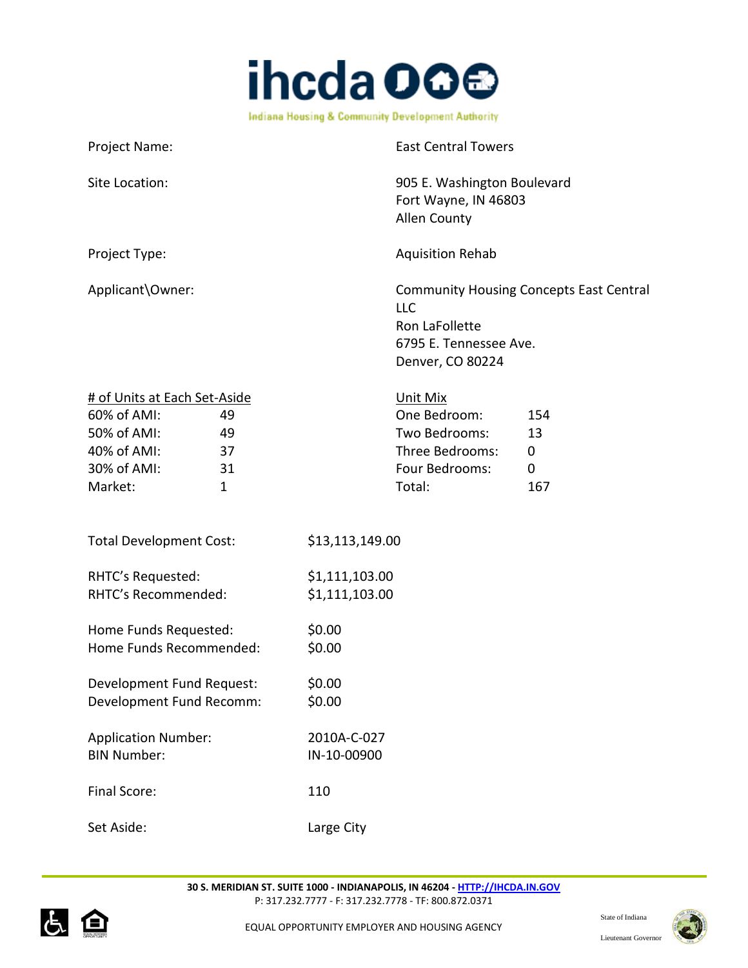

| Project Name:    | <b>East Central Towers</b>                                                                                                   |
|------------------|------------------------------------------------------------------------------------------------------------------------------|
| Site Location:   | 905 E. Washington Boulevard<br>Fort Wayne, IN 46803<br><b>Allen County</b>                                                   |
| Project Type:    | <b>Aquisition Rehab</b>                                                                                                      |
| Applicant\Owner: | <b>Community Housing Concepts East Central</b><br><b>LLC</b><br>Ron LaFollette<br>6795 E. Tennessee Ave.<br>Denver, CO 80224 |

| # of Units at Each Set-Aside |    | Unit Mix        |     |
|------------------------------|----|-----------------|-----|
| 60% of AMI:                  | 49 | One Bedroom:    | 154 |
| 50% of AMI:                  | 49 | Two Bedrooms:   | 13  |
| 40% of AMI:                  | 37 | Three Bedrooms: |     |
| 30% of AMI:                  | 31 | Four Bedrooms:  |     |
| Market:                      |    | Total:          | 167 |

| <b>Total Development Cost:</b> | \$13,113,149.00 |
|--------------------------------|-----------------|
| RHTC's Requested:              | \$1,111,103.00  |
| RHTC's Recommended:            | \$1,111,103.00  |
| Home Funds Requested:          | \$0.00          |
| Home Funds Recommended:        | \$0.00          |
| Development Fund Request:      | \$0.00          |
| Development Fund Recomm:       | \$0.00          |
| <b>Application Number:</b>     | 2010A-C-027     |
| <b>BIN Number:</b>             | IN-10-00900     |
| Final Score:                   | 110             |
| Set Aside:                     | Large City      |



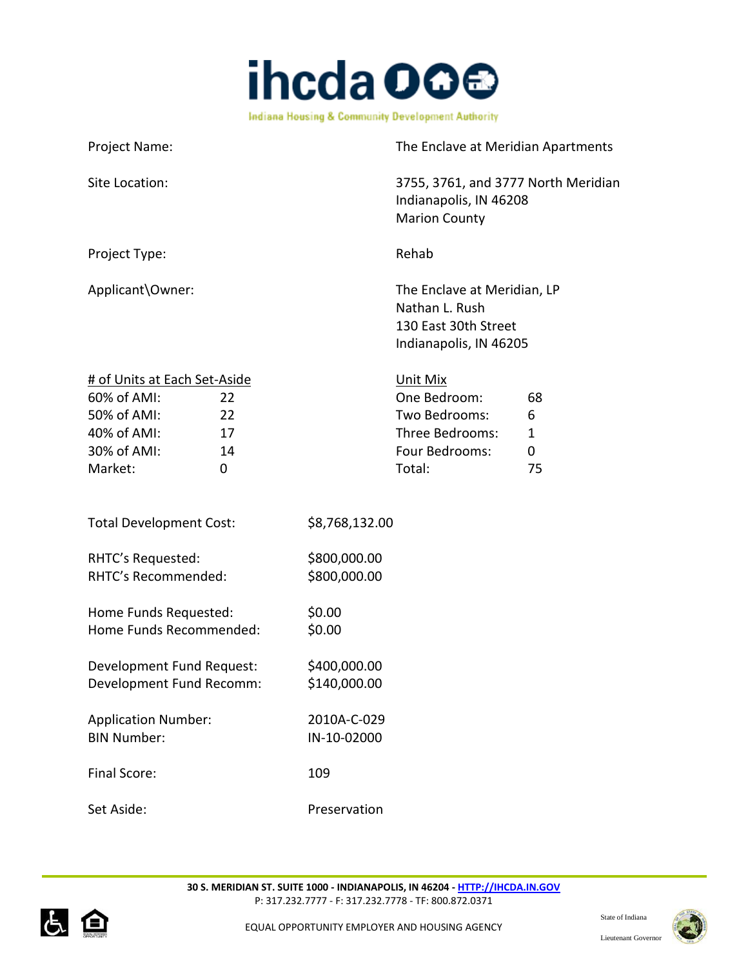

| Project Name:                                                                                                                    | The Enclave at Meridian Apartments                                                                                  |
|----------------------------------------------------------------------------------------------------------------------------------|---------------------------------------------------------------------------------------------------------------------|
| Site Location:                                                                                                                   | 3755, 3761, and 3777 North Meridian<br>Indianapolis, IN 46208<br><b>Marion County</b>                               |
| Project Type:                                                                                                                    | Rehab                                                                                                               |
| Applicant\Owner:                                                                                                                 | The Enclave at Meridian, LP<br>Nathan L. Rush<br>130 East 30th Street<br>Indianapolis, IN 46205                     |
| # of Units at Each Set-Aside<br>60% of AMI:<br>22<br>50% of AMI:<br>22<br>40% of AMI:<br>17<br>30% of AMI:<br>14<br>Market:<br>0 | Unit Mix<br>One Bedroom:<br>68<br>Two Bedrooms:<br>6<br>Three Bedrooms:<br>1<br>Four Bedrooms:<br>0<br>Total:<br>75 |
| <b>Total Development Cost:</b>                                                                                                   | \$8,768,132.00                                                                                                      |
| RHTC's Requested:<br>RHTC's Recommended:                                                                                         | \$800,000.00<br>\$800,000.00                                                                                        |
| Home Funds Requested:<br>Home Funds Recommended:                                                                                 | \$0.00<br>\$0.00                                                                                                    |
| Development Fund Request:<br>Development Fund Recomm:                                                                            | \$400,000.00<br>\$140,000.00                                                                                        |
| <b>Application Number:</b><br><b>BIN Number:</b>                                                                                 | 2010A-C-029<br>IN-10-02000                                                                                          |
| Final Score:                                                                                                                     | 109                                                                                                                 |
| Set Aside:                                                                                                                       | Preservation                                                                                                        |



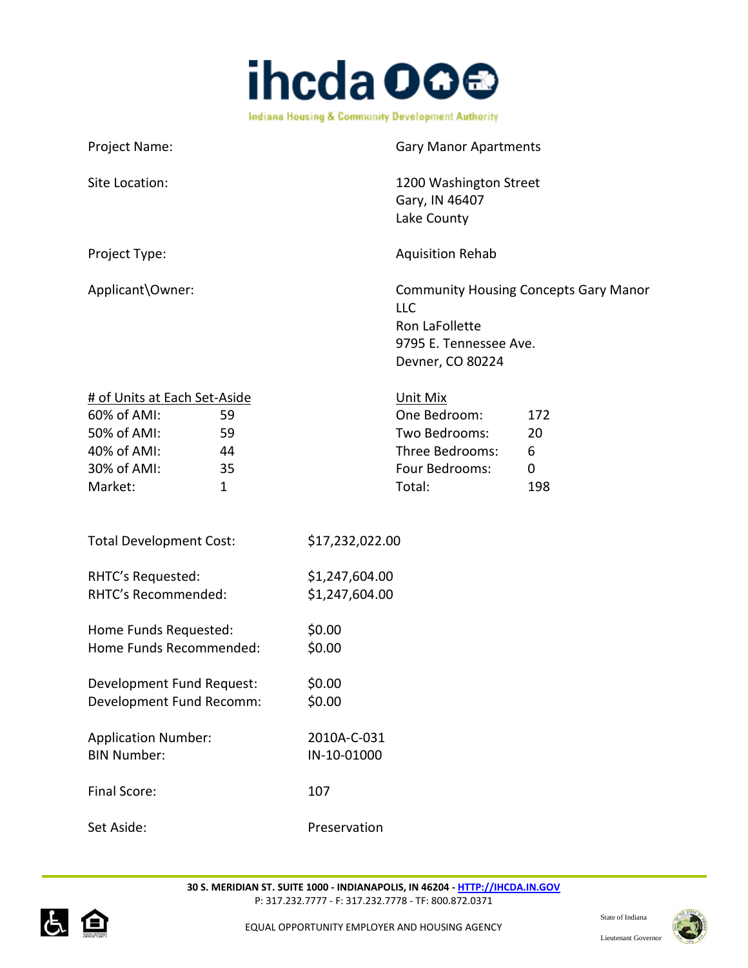

| Project Name:                 | <b>Gary Manor Apartments</b>                                                                                        |
|-------------------------------|---------------------------------------------------------------------------------------------------------------------|
| Site Location:                | 1200 Washington Street<br>Gary, IN 46407                                                                            |
|                               | Lake County                                                                                                         |
| Project Type:                 | <b>Aquisition Rehab</b>                                                                                             |
| Applicant\Owner:              | <b>Community Housing Concepts Gary Manor</b><br>LLC<br>Ron LaFollette<br>9795 E. Tennessee Ave.<br>Devner, CO 80224 |
| # of Units at Each Set-Aside  | Unit Mix                                                                                                            |
| $60\%$ of $\Delta M$ I.<br>59 | One Redroom:<br>172                                                                                                 |

| $60\%$ of AMI: | 59 | One Bedroom:    | 172 |
|----------------|----|-----------------|-----|
| 50% of AMI:    | 59 | Two Bedrooms:   | 20  |
| 40% of AMI:    | 44 | Three Bedrooms: | h   |
| 30% of AMI:    | 35 | Four Bedrooms:  |     |
| Market:        |    | Total:          | 198 |

| <b>Total Development Cost:</b> | \$17,232,022.00 |
|--------------------------------|-----------------|
|--------------------------------|-----------------|

| RHTC's Requested:   | \$1,247,604.00 |
|---------------------|----------------|
| RHTC's Recommended: | \$1,247,604.00 |

|                         | \$0.00 |
|-------------------------|--------|
| Home Funds Recommended: | \$0.00 |

Development Fund Request: \$0.00 Development Fund Recomm: \$0.00

Application Number: 2010A-C-031 BIN Number: IN-10-01000 Final Score: 107

Set Aside: Preservation



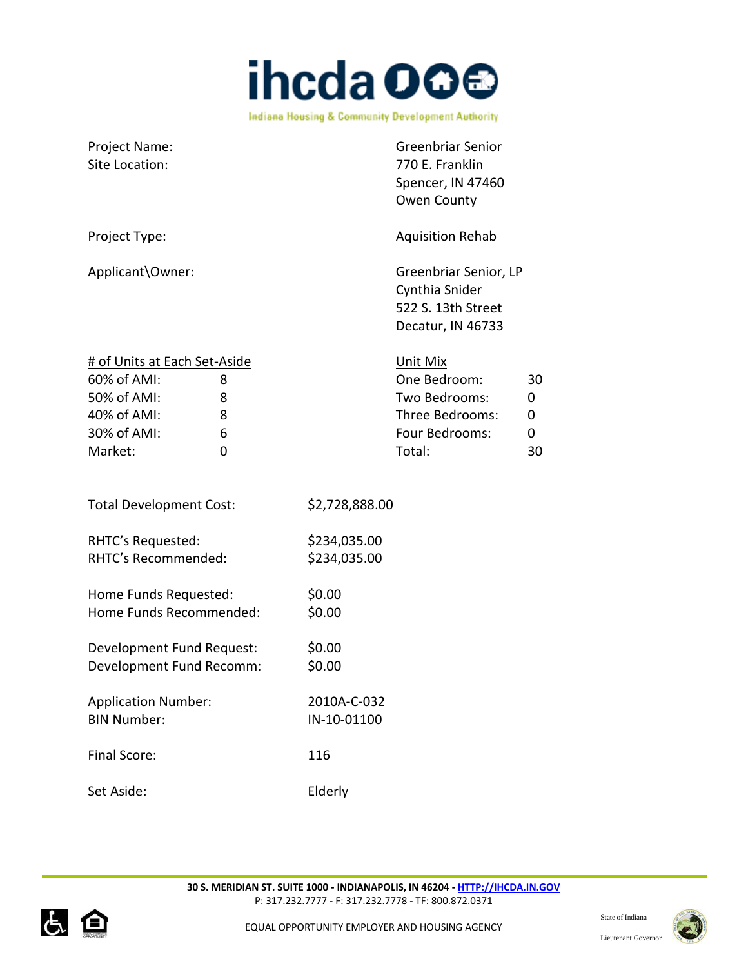

| Project Name:<br>Site Location:                                                                                              | <b>Greenbriar Senior</b><br>770 E. Franklin<br>Spencer, IN 47460<br>Owen County                                     |
|------------------------------------------------------------------------------------------------------------------------------|---------------------------------------------------------------------------------------------------------------------|
| Project Type:                                                                                                                | <b>Aquisition Rehab</b>                                                                                             |
| Applicant\Owner:                                                                                                             | Greenbriar Senior, LP<br>Cynthia Snider<br>522 S. 13th Street<br>Decatur, IN 46733                                  |
| # of Units at Each Set-Aside<br>60% of AMI:<br>8<br>50% of AMI:<br>8<br>40% of AMI:<br>8<br>30% of AMI:<br>6<br>Market:<br>0 | Unit Mix<br>One Bedroom:<br>30<br>Two Bedrooms:<br>0<br>Three Bedrooms:<br>0<br>Four Bedrooms:<br>0<br>Total:<br>30 |
| <b>Total Development Cost:</b>                                                                                               | \$2,728,888.00                                                                                                      |
| RHTC's Requested:<br>RHTC's Recommended:                                                                                     | \$234,035.00<br>\$234,035.00                                                                                        |
| Home Funds Requested:<br>Home Funds Recommended:                                                                             | \$0.00<br>\$0.00                                                                                                    |
| Development Fund Request:<br>Development Fund Recomm:                                                                        | \$0.00<br>\$0.00                                                                                                    |
| <b>Application Number:</b><br><b>BIN Number:</b>                                                                             | 2010A-C-032<br>IN-10-01100                                                                                          |
| Final Score:                                                                                                                 | 116                                                                                                                 |
| Set Aside:                                                                                                                   | Elderly                                                                                                             |



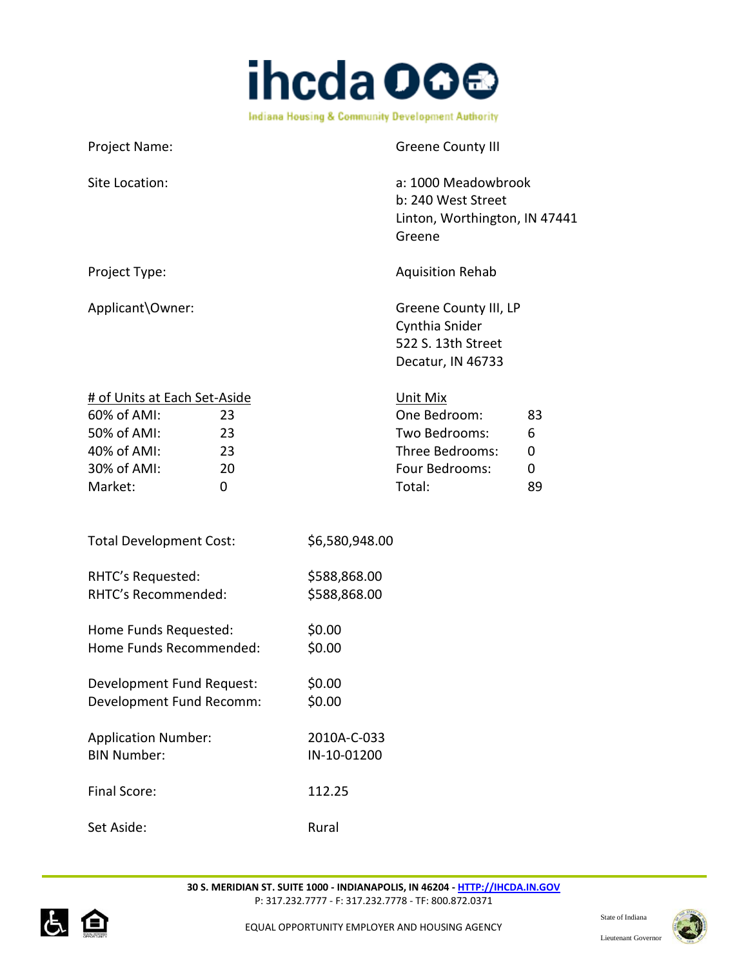

Project Name: Greene County III Site Location: a: 1000 Meadowbrook b: 240 West Street Linton, Worthington, IN 47441 Greene Project Type:  $\blacksquare$ Applicant\Owner: Greene County III, LP Cynthia Snider 522 S. 13th Street Decatur, IN 46733 # of Units at Each Set-Aside Unit Mix 60% of AMI: 23 One Bedroom: 83 50% of AMI: 23 Two Bedrooms: 6 40% of AMI: 23 Three Bedrooms: 0 30% of AMI: 20 20 Four Bedrooms: 0 Market: 0 Total: 89 Total Development Cost: \$6,580,948.00 RHTC's Requested: \$588,868.00 RHTC's Recommended: \$588,868.00 Home Funds Requested: \$0.00 Home Funds Recommended: \$0.00 Development Fund Request: \$0.00 Development Fund Recomm: \$0.00 Application Number: 2010A-C-033 BIN Number: IN-10-01200 Final Score: 112.25 Set Aside: Rural



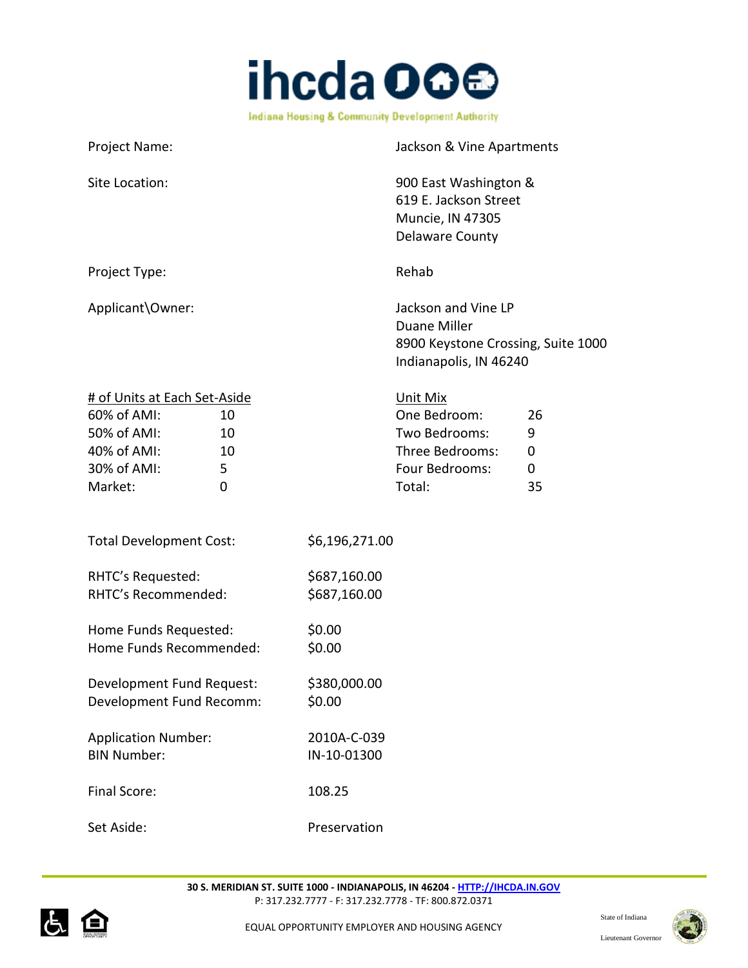

Project Name: Jackson & Vine Apartments Site Location: 300 East Washington & 619 E. Jackson Street Muncie, IN 47305 Delaware County Project Type: National Assemblance Rehability Rehability Rehability Rehability Rehability Rehability Rehability Applicant\Owner:  $Jackson$  and Vine LP Duane Miller 8900 Keystone Crossing, Suite 1000 Indianapolis, IN 46240 # of Units at Each Set-Aside Unit Mix 60% of AMI: 10 One Bedroom: 26 50% of AMI: 10 Two Bedrooms: 9 40% of AMI: 10 Three Bedrooms: 0 30% of AMI: 5 Four Bedrooms: 0 Market: 0 Total: 35 Total Development Cost: \$6,196,271.00 RHTC's Requested: \$687,160.00 RHTC's Recommended: \$687,160.00 Home Funds Requested: \$0.00 Home Funds Recommended: \$0.00 Development Fund Request: \$380,000.00 Development Fund Recomm: \$0.00 Application Number: 2010A-C-039 BIN Number: IN-10-01300 Final Score: 108.25 Set Aside: Preservation



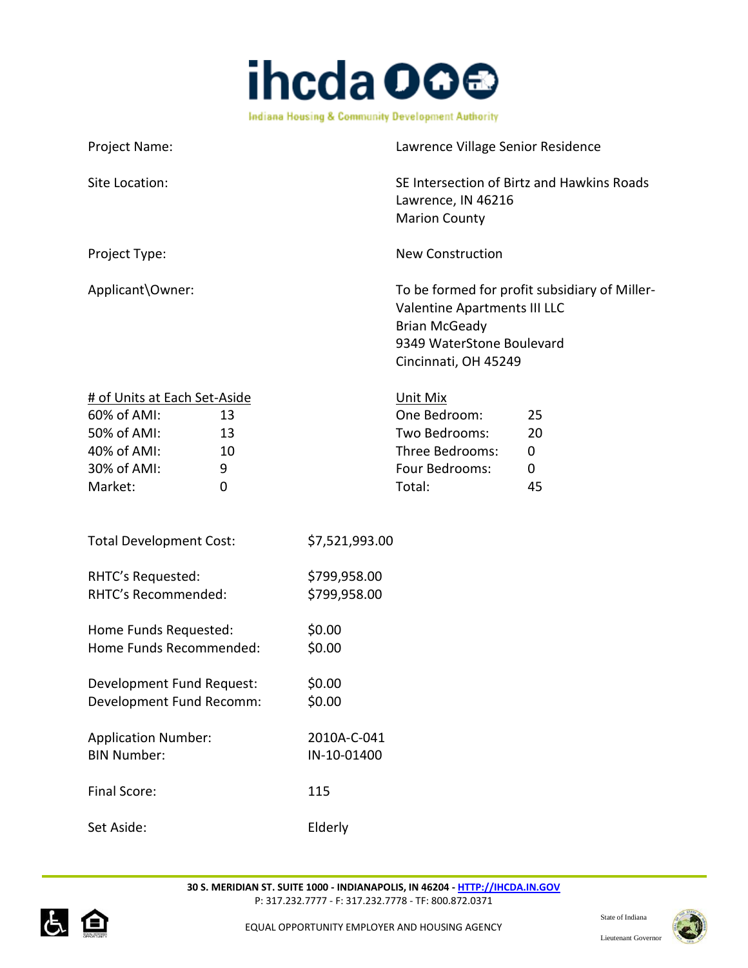

| Project Name:                                                                                       |           | Lawrence Village Senior Residence                                                                                                                          |
|-----------------------------------------------------------------------------------------------------|-----------|------------------------------------------------------------------------------------------------------------------------------------------------------------|
| Site Location:                                                                                      |           | SE Intersection of Birtz and Hawkins Roads<br>Lawrence, IN 46216<br><b>Marion County</b>                                                                   |
| Project Type:                                                                                       |           | <b>New Construction</b>                                                                                                                                    |
| Applicant\Owner:                                                                                    |           | To be formed for profit subsidiary of Miller-<br>Valentine Apartments III LLC<br><b>Brian McGeady</b><br>9349 WaterStone Boulevard<br>Cincinnati, OH 45249 |
| # of Units at Each Set-Aside<br>60% of AMI:<br>$\Gamma \cap \Omega'$ of $\Lambda \Lambda \Lambda$ . | 13<br>1 ገ | Unit Mix<br>One Bedroom:<br>25<br>חר<br>Tua Dodroomai                                                                                                      |

| $60\%$ of AMI: | 13 | One Bedroom:    | 25           |
|----------------|----|-----------------|--------------|
| 50% of AMI:    | 13 | Two Bedrooms:   | 20           |
| 40% of AMI:    | 10 | Three Bedrooms: | $\mathbf{I}$ |
| 30% of AMI:    | q  | Four Bedrooms:  | $\mathbf{0}$ |
| Market:        |    | Total:          | 45           |

| <b>Total Development Cost:</b> | \$7,521,993.00 |
|--------------------------------|----------------|
|                                |                |

| RHTC's Requested:   | \$799,958.00 |
|---------------------|--------------|
| RHTC's Recommended: | \$799,958.00 |
|                     |              |

| Home Funds Requested:   | \$0.00 |
|-------------------------|--------|
| Home Funds Recommended: | \$0.00 |
|                         |        |

Development Fund Request: \$0.00 Development Fund Recomm: \$0.00

| <b>Application Number:</b> | 2010A-C-041 |
|----------------------------|-------------|
| <b>BIN Number:</b>         | IN-10-01400 |
|                            |             |
| Final Score:               | 115         |
|                            |             |

Set Aside: Elderly



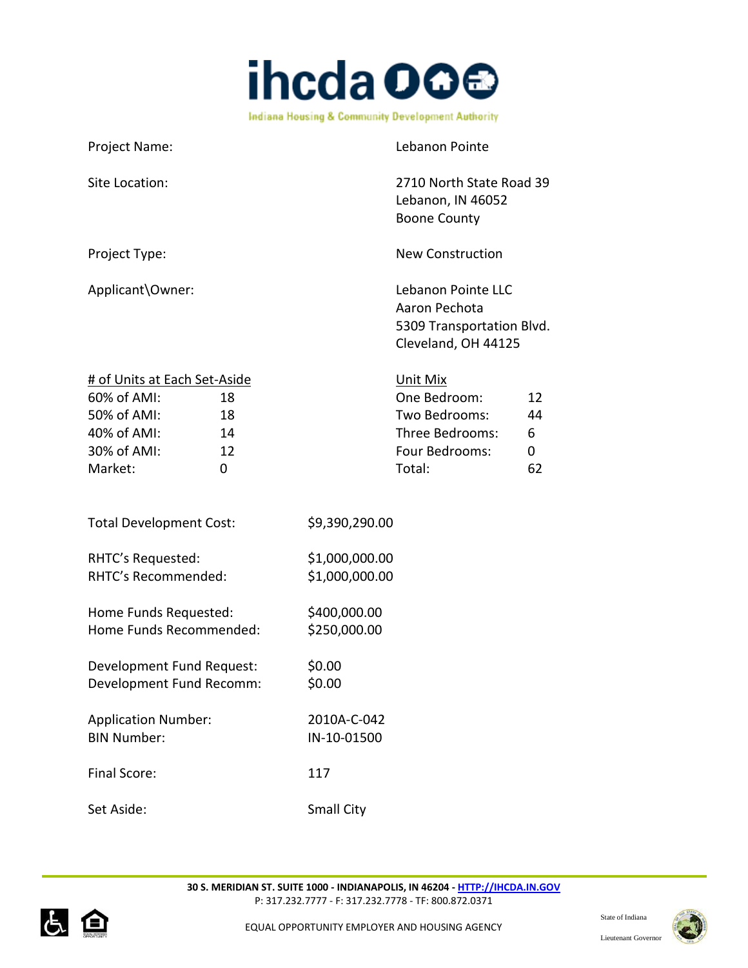

Project Name: Lebanon Pointe Site Location: 2710 North State Road 39 Lebanon, IN 46052 Boone County Project Type: New Construction Applicant\Owner: Lebanon Pointe LLC Aaron Pechota 5309 Transportation Blvd. Cleveland, OH 44125 # of Units at Each Set-Aside Unit Mix 60% of AMI: 18 One Bedroom: 12 50% of AMI: 18 Two Bedrooms: 44 40% of AMI: 14 Three Bedrooms: 6 30% of AMI: 12 12 Four Bedrooms: 0 Market: 0 Total: 62 Total Development Cost: \$9,390,290.00 RHTC's Requested: \$1,000,000.00 RHTC's Recommended: \$1,000,000.00 Home Funds Requested: \$400,000.00 Home Funds Recommended: \$250,000.00 Development Fund Request: \$0.00 Development Fund Recomm: \$0.00 Application Number: 2010A-C-042 BIN Number: IN-10-01500 Final Score: 117 Set Aside: Small City



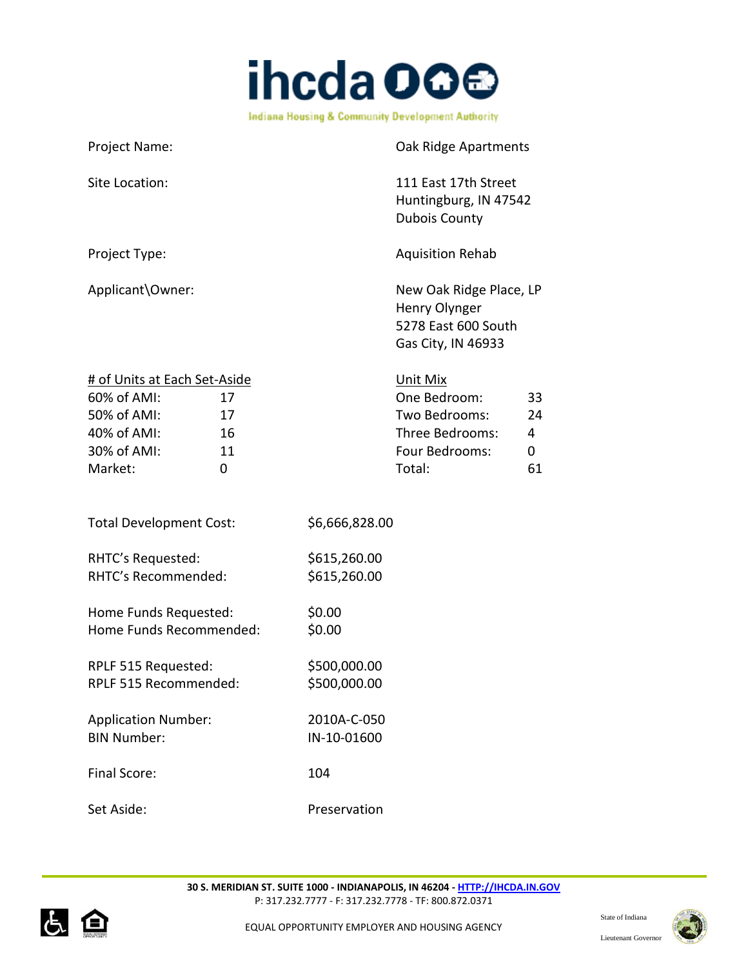

| Project Name:                                                                                                                    | Oak Ridge Apartments                                                                                                 |
|----------------------------------------------------------------------------------------------------------------------------------|----------------------------------------------------------------------------------------------------------------------|
| Site Location:                                                                                                                   | 111 East 17th Street<br>Huntingburg, IN 47542<br><b>Dubois County</b>                                                |
| Project Type:                                                                                                                    | <b>Aquisition Rehab</b>                                                                                              |
| Applicant\Owner:                                                                                                                 | New Oak Ridge Place, LP<br>Henry Olynger<br>5278 East 600 South<br>Gas City, IN 46933                                |
| # of Units at Each Set-Aside<br>60% of AMI:<br>17<br>50% of AMI:<br>17<br>40% of AMI:<br>16<br>30% of AMI:<br>11<br>Market:<br>0 | Unit Mix<br>One Bedroom:<br>33<br>Two Bedrooms:<br>24<br>Three Bedrooms:<br>4<br>Four Bedrooms:<br>0<br>Total:<br>61 |
| <b>Total Development Cost:</b>                                                                                                   | \$6,666,828.00                                                                                                       |
| RHTC's Requested:<br>RHTC's Recommended:                                                                                         | \$615,260.00<br>\$615,260.00                                                                                         |
| Home Funds Requested:<br>Home Funds Recommended:                                                                                 | \$0.00<br>\$0.00                                                                                                     |
| RPLF 515 Requested:<br>RPLF 515 Recommended:                                                                                     | \$500,000.00<br>\$500,000.00                                                                                         |
| <b>Application Number:</b><br><b>BIN Number:</b>                                                                                 | 2010A-C-050<br>IN-10-01600                                                                                           |
| <b>Final Score:</b>                                                                                                              | 104                                                                                                                  |
| Set Aside:                                                                                                                       | Preservation                                                                                                         |



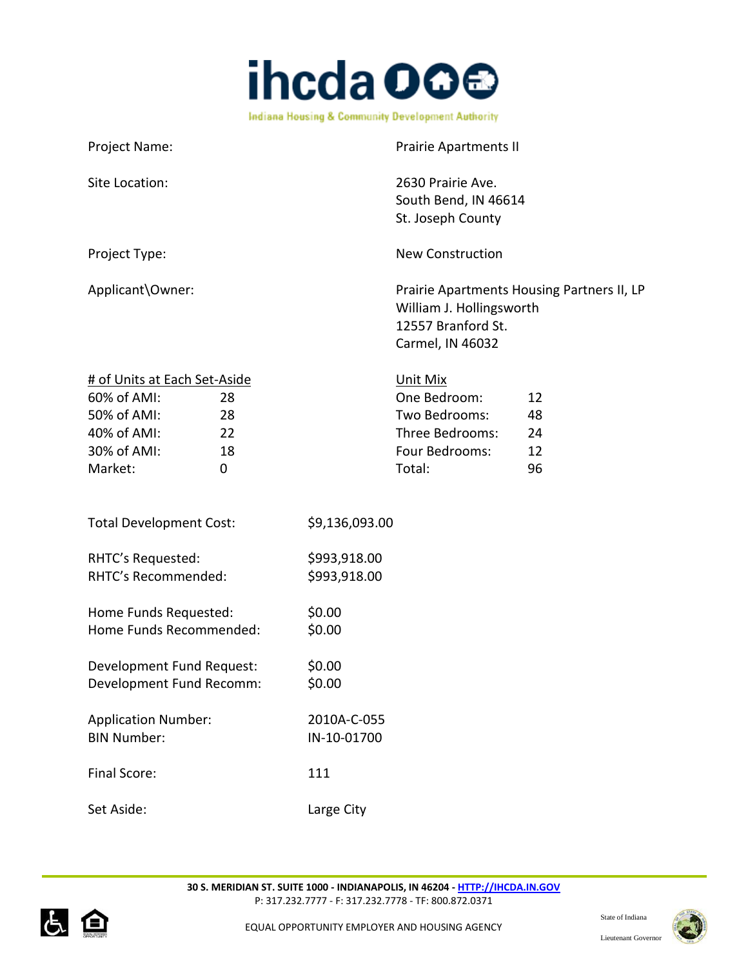

| Project Name:                                                                                                                              |                              | <b>Prairie Apartments II</b>                                                                                     |                            |
|--------------------------------------------------------------------------------------------------------------------------------------------|------------------------------|------------------------------------------------------------------------------------------------------------------|----------------------------|
| Site Location:                                                                                                                             |                              | 2630 Prairie Ave.<br>South Bend, IN 46614<br>St. Joseph County                                                   |                            |
| Project Type:                                                                                                                              |                              | <b>New Construction</b>                                                                                          |                            |
| Applicant\Owner:                                                                                                                           |                              | Prairie Apartments Housing Partners II, LP<br>William J. Hollingsworth<br>12557 Branford St.<br>Carmel, IN 46032 |                            |
| # of Units at Each Set-Aside<br>60% of AMI:<br>28<br>50% of AMI:<br>28<br>40% of AMI:<br>22<br>30% of AMI:<br>18<br>Market:<br>$\mathbf 0$ |                              | Unit Mix<br>One Bedroom:<br>Two Bedrooms:<br>Three Bedrooms:<br>Four Bedrooms:<br>Total:                         | 12<br>48<br>24<br>12<br>96 |
| <b>Total Development Cost:</b>                                                                                                             | \$9,136,093.00               |                                                                                                                  |                            |
| RHTC's Requested:<br>RHTC's Recommended:                                                                                                   | \$993,918.00<br>\$993,918.00 |                                                                                                                  |                            |
| Home Funds Requested:<br>Home Funds Recommended:                                                                                           | \$0.00<br>\$0.00             |                                                                                                                  |                            |
| Development Fund Request:<br>Development Fund Recomm:                                                                                      | \$0.00<br>\$0.00             |                                                                                                                  |                            |
| <b>Application Number:</b><br><b>BIN Number:</b>                                                                                           | 2010A-C-055<br>IN-10-01700   |                                                                                                                  |                            |
| Final Score:                                                                                                                               | 111                          |                                                                                                                  |                            |
| Set Aside:                                                                                                                                 | Large City                   |                                                                                                                  |                            |



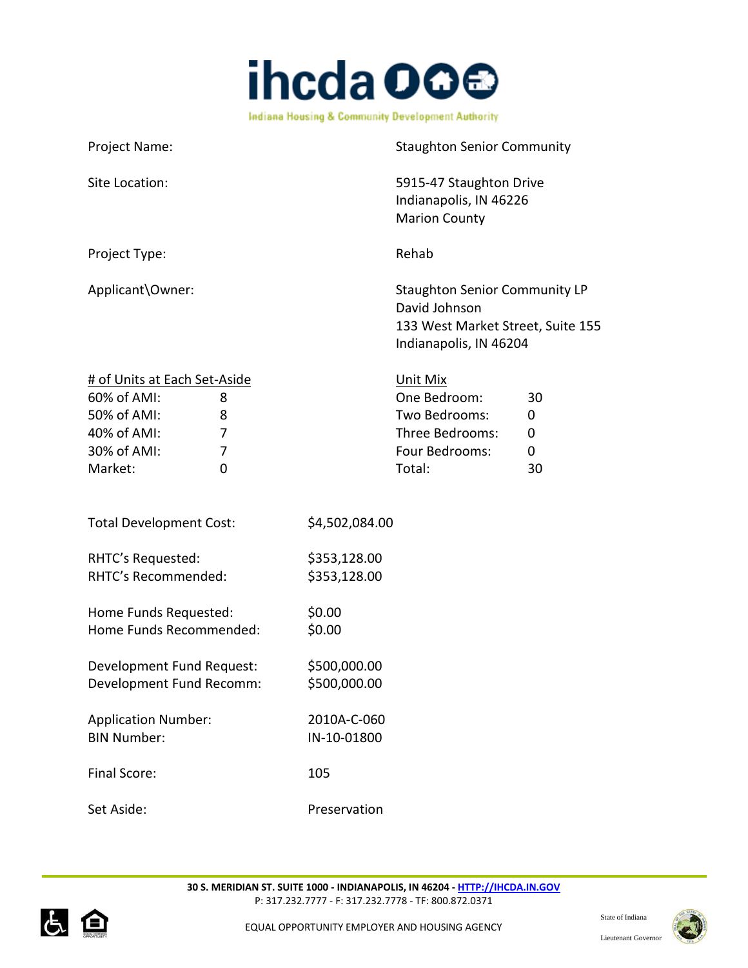

| Project Name:                                                                                                                          | <b>Staughton Senior Community</b>                                                                                    |
|----------------------------------------------------------------------------------------------------------------------------------------|----------------------------------------------------------------------------------------------------------------------|
| Site Location:                                                                                                                         | 5915-47 Staughton Drive<br>Indianapolis, IN 46226<br><b>Marion County</b>                                            |
| Project Type:                                                                                                                          | Rehab                                                                                                                |
| Applicant\Owner:                                                                                                                       | <b>Staughton Senior Community LP</b><br>David Johnson<br>133 West Market Street, Suite 155<br>Indianapolis, IN 46204 |
| # of Units at Each Set-Aside<br>60% of AMI:<br>8<br>50% of AMI:<br>8<br>40% of AMI:<br>7<br>30% of AMI:<br>7<br>Market:<br>$\mathbf 0$ | Unit Mix<br>One Bedroom:<br>30<br>Two Bedrooms:<br>0<br>Three Bedrooms:<br>0<br>Four Bedrooms:<br>0<br>Total:<br>30  |
| <b>Total Development Cost:</b>                                                                                                         | \$4,502,084.00                                                                                                       |
| RHTC's Requested:<br>RHTC's Recommended:                                                                                               | \$353,128.00<br>\$353,128.00                                                                                         |
| Home Funds Requested:<br>Home Funds Recommended:                                                                                       | \$0.00<br>\$0.00                                                                                                     |
| Development Fund Request:<br>Development Fund Recomm:                                                                                  | \$500,000.00<br>\$500,000.00                                                                                         |
| <b>Application Number:</b><br><b>BIN Number:</b>                                                                                       | 2010A-C-060<br>IN-10-01800                                                                                           |
| Final Score:                                                                                                                           | 105                                                                                                                  |
| Set Aside:                                                                                                                             | Preservation                                                                                                         |



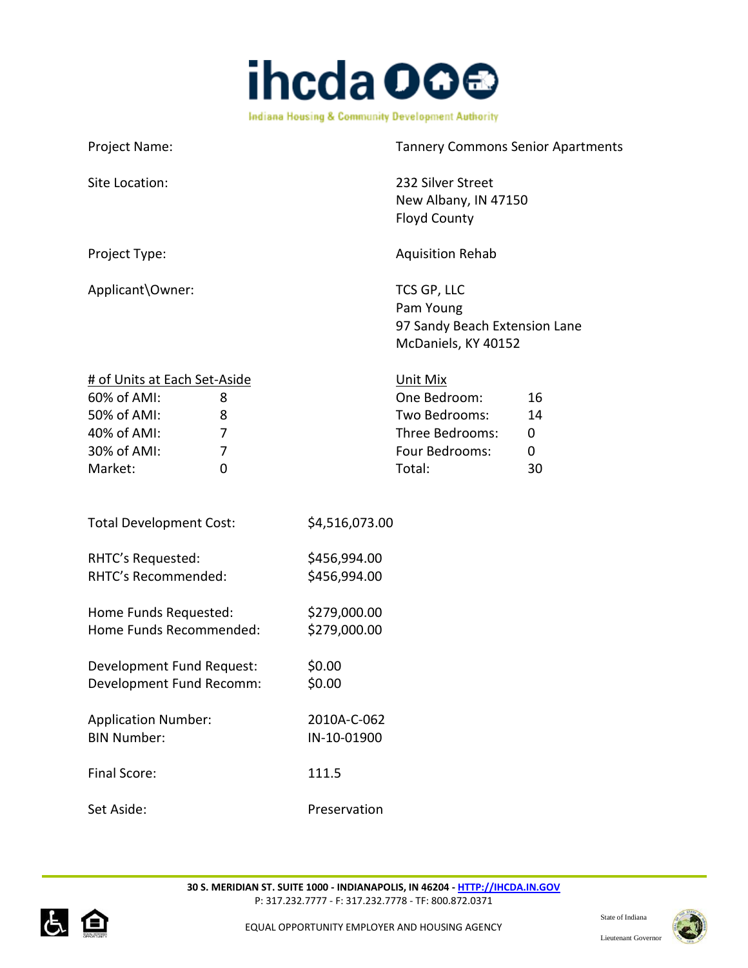

| Project Name:                                                                                                                             |                              | <b>Tannery Commons Senior Apartments</b>                                                 |                          |
|-------------------------------------------------------------------------------------------------------------------------------------------|------------------------------|------------------------------------------------------------------------------------------|--------------------------|
| Site Location:                                                                                                                            |                              | 232 Silver Street<br>New Albany, IN 47150<br><b>Floyd County</b>                         |                          |
| Project Type:                                                                                                                             |                              | <b>Aquisition Rehab</b>                                                                  |                          |
| Applicant\Owner:                                                                                                                          |                              | TCS GP, LLC<br>Pam Young<br>97 Sandy Beach Extension Lane<br>McDaniels, KY 40152         |                          |
| # of Units at Each Set-Aside<br>60% of AMI:<br>8<br>50% of AMI:<br>8<br>40% of AMI:<br>$\overline{7}$<br>30% of AMI:<br>7<br>Market:<br>0 |                              | Unit Mix<br>One Bedroom:<br>Two Bedrooms:<br>Three Bedrooms:<br>Four Bedrooms:<br>Total: | 16<br>14<br>0<br>0<br>30 |
| <b>Total Development Cost:</b>                                                                                                            | \$4,516,073.00               |                                                                                          |                          |
| RHTC's Requested:<br>RHTC's Recommended:                                                                                                  | \$456,994.00<br>\$456,994.00 |                                                                                          |                          |
| Home Funds Requested:<br>Home Funds Recommended:                                                                                          | \$279,000.00<br>\$279,000.00 |                                                                                          |                          |
| Development Fund Request:<br>Development Fund Recomm:                                                                                     | \$0.00<br>\$0.00             |                                                                                          |                          |
| <b>Application Number:</b><br><b>BIN Number:</b>                                                                                          | 2010A-C-062<br>IN-10-01900   |                                                                                          |                          |
| Final Score:                                                                                                                              | 111.5                        |                                                                                          |                          |
| Set Aside:                                                                                                                                | Preservation                 |                                                                                          |                          |



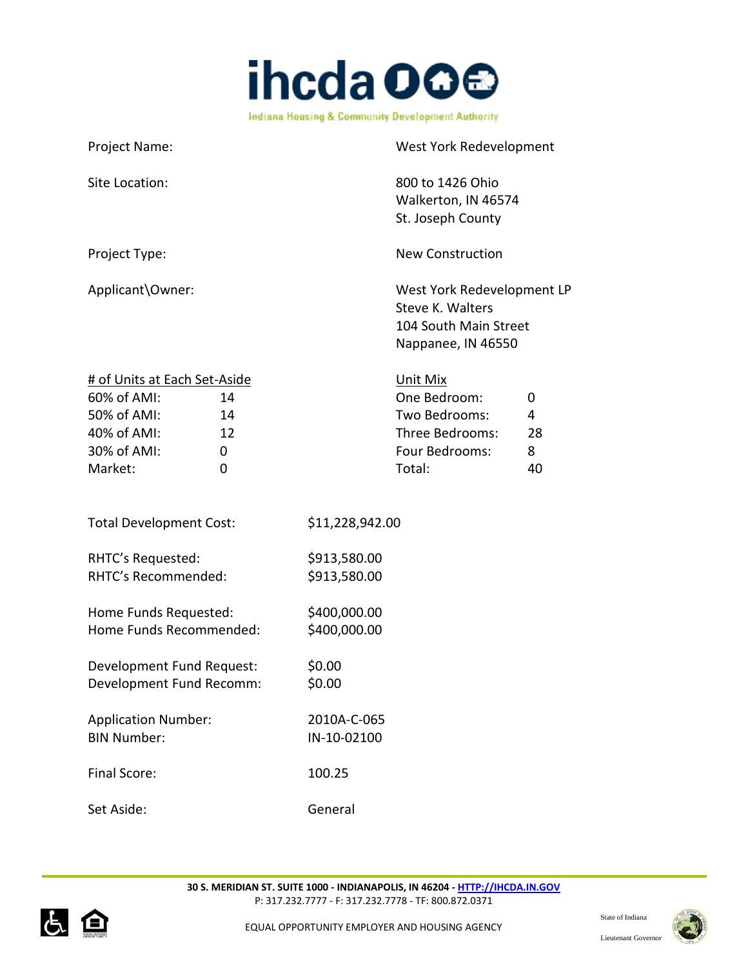

| Project Name:                                                                                                                   | West York Redevelopment                                                                                             |
|---------------------------------------------------------------------------------------------------------------------------------|---------------------------------------------------------------------------------------------------------------------|
| Site Location:                                                                                                                  | 800 to 1426 Ohio<br>Walkerton, IN 46574<br>St. Joseph County                                                        |
| Project Type:                                                                                                                   | <b>New Construction</b>                                                                                             |
| Applicant\Owner:                                                                                                                | West York Redevelopment LP<br>Steve K. Walters<br>104 South Main Street<br>Nappanee, IN 46550                       |
| # of Units at Each Set-Aside<br>60% of AMI:<br>14<br>50% of AMI:<br>14<br>40% of AMI:<br>12<br>30% of AMI:<br>0<br>Market:<br>0 | Unit Mix<br>One Bedroom:<br>0<br>Two Bedrooms:<br>4<br>Three Bedrooms:<br>28<br>Four Bedrooms:<br>8<br>Total:<br>40 |
| <b>Total Development Cost:</b>                                                                                                  | \$11,228,942.00                                                                                                     |
| RHTC's Requested:<br>RHTC's Recommended:                                                                                        | \$913,580.00<br>\$913,580.00                                                                                        |
| Home Funds Requested:<br>Home Funds Recommended:                                                                                | \$400,000.00<br>\$400,000.00                                                                                        |
| Development Fund Request:<br>Development Fund Recomm:                                                                           | \$0.00<br>\$0.00                                                                                                    |
| <b>Application Number:</b><br><b>BIN Number:</b>                                                                                | 2010A-C-065<br>IN-10-02100                                                                                          |
| <b>Final Score:</b>                                                                                                             | 100.25                                                                                                              |
| Set Aside:                                                                                                                      | General                                                                                                             |



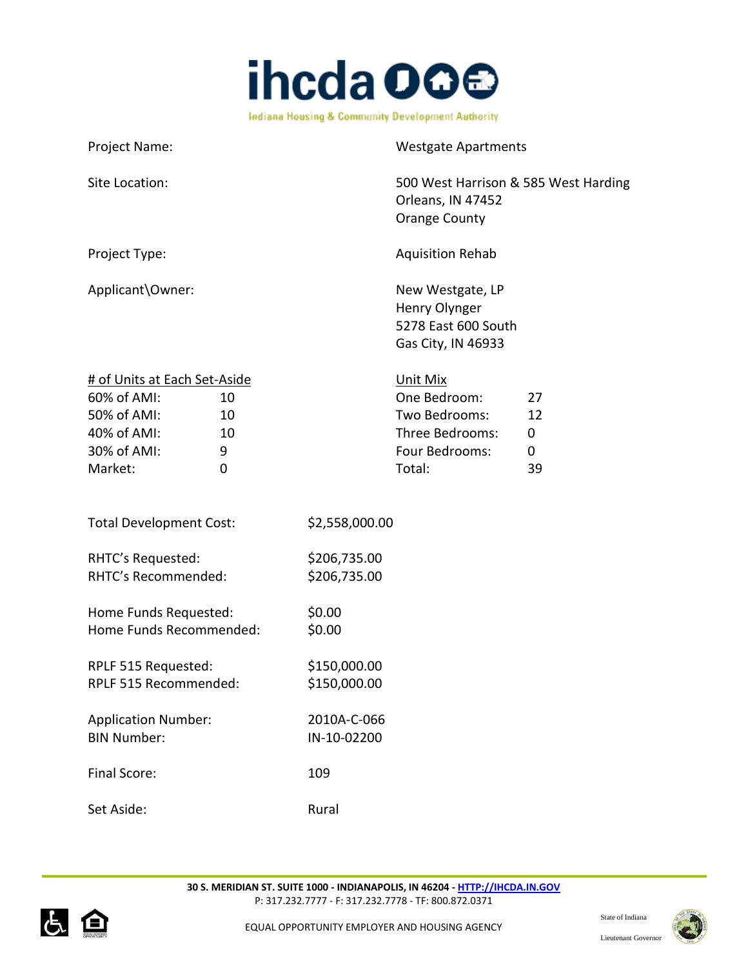

| Project Name:                                                                                                                                |                              | <b>Westgate Apartments</b>                                                               |                                                   |
|----------------------------------------------------------------------------------------------------------------------------------------------|------------------------------|------------------------------------------------------------------------------------------|---------------------------------------------------|
| Site Location:                                                                                                                               |                              | 500 West Harrison & 585 West Harding<br>Orleans, IN 47452<br><b>Orange County</b>        |                                                   |
| Project Type:                                                                                                                                |                              | <b>Aquisition Rehab</b>                                                                  |                                                   |
| Applicant\Owner:                                                                                                                             |                              | New Westgate, LP<br>Henry Olynger<br>5278 East 600 South<br>Gas City, IN 46933           |                                                   |
| # of Units at Each Set-Aside<br>60% of AMI:<br>10<br>50% of AMI:<br>10<br>40% of AMI:<br>10<br>30% of AMI:<br>9<br>Market:<br>$\overline{0}$ |                              | Unit Mix<br>One Bedroom:<br>Two Bedrooms:<br>Three Bedrooms:<br>Four Bedrooms:<br>Total: | 27<br>12<br>$\boldsymbol{0}$<br>$\mathbf 0$<br>39 |
| <b>Total Development Cost:</b>                                                                                                               | \$2,558,000.00               |                                                                                          |                                                   |
| RHTC's Requested:<br>RHTC's Recommended:                                                                                                     | \$206,735.00<br>\$206,735.00 |                                                                                          |                                                   |
| Home Funds Requested:<br>Home Funds Recommended:                                                                                             | \$0.00<br>\$0.00             |                                                                                          |                                                   |
| RPLF 515 Requested:<br>RPLF 515 Recommended:                                                                                                 | \$150,000.00<br>\$150,000.00 |                                                                                          |                                                   |
| <b>Application Number:</b><br><b>BIN Number:</b>                                                                                             | 2010A-C-066<br>IN-10-02200   |                                                                                          |                                                   |
| Final Score:                                                                                                                                 | 109                          |                                                                                          |                                                   |
| Set Aside:                                                                                                                                   | Rural                        |                                                                                          |                                                   |